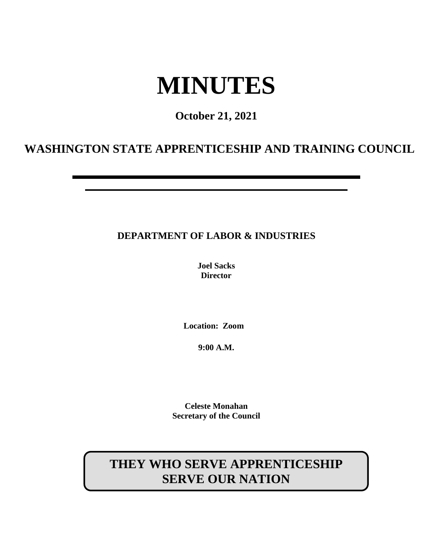# **MINUTES**

## **October 21, 2021**

## **WASHINGTON STATE APPRENTICESHIP AND TRAINING COUNCIL**

## **DEPARTMENT OF LABOR & INDUSTRIES**

**Joel Sacks Director**

**Location: Zoom**

**9:00 A.M.**

**Celeste Monahan Secretary of the Council**

## **THEY WHO SERVE APPRENTICESHIP SERVE OUR NATION**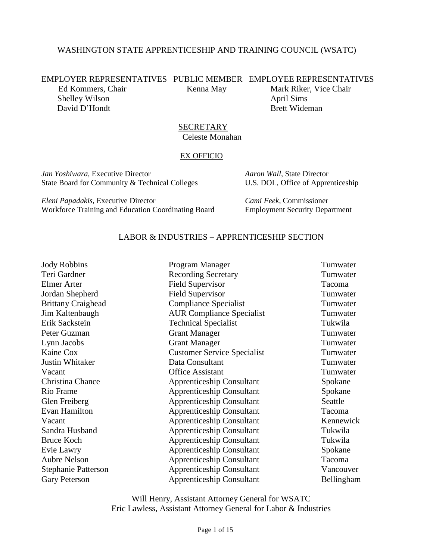## WASHINGTON STATE APPRENTICESHIP AND TRAINING COUNCIL (WSATC)

EMPLOYER REPRESENTATIVES PUBLIC MEMBER EMPLOYEE REPRESENTATIVES

Shelley Wilson April Sims David D'Hondt Brett Wideman

Ed Kommers, Chair Kenna May Mark Riker, Vice Chair

**SECRETARY** Celeste Monahan

#### EX OFFICIO

*Jan Yoshiwara*, Executive Director *Aaron Wall*, State Director State Board for Community & Technical Colleges U.S. DOL, Office of Apprenticeship

*Eleni Papadakis*, Executive Director *Cami Feek*, Commissioner Workforce Training and Education Coordinating Board Employment Security Department

## LABOR & INDUSTRIES – APPRENTICESHIP SECTION

| Program Manager                    | Tumwater   |
|------------------------------------|------------|
| <b>Recording Secretary</b>         | Tumwater   |
| <b>Field Supervisor</b>            | Tacoma     |
| <b>Field Supervisor</b>            | Tumwater   |
| <b>Compliance Specialist</b>       | Tumwater   |
| <b>AUR Compliance Specialist</b>   | Tumwater   |
| <b>Technical Specialist</b>        | Tukwila    |
| <b>Grant Manager</b>               | Tumwater   |
| <b>Grant Manager</b>               | Tumwater   |
| <b>Customer Service Specialist</b> | Tumwater   |
| Data Consultant                    | Tumwater   |
| <b>Office Assistant</b>            | Tumwater   |
| <b>Apprenticeship Consultant</b>   | Spokane    |
| <b>Apprenticeship Consultant</b>   | Spokane    |
| <b>Apprenticeship Consultant</b>   | Seattle    |
| <b>Apprenticeship Consultant</b>   | Tacoma     |
| <b>Apprenticeship Consultant</b>   | Kennewick  |
| <b>Apprenticeship Consultant</b>   | Tukwila    |
| <b>Apprenticeship Consultant</b>   | Tukwila    |
| <b>Apprenticeship Consultant</b>   | Spokane    |
| <b>Apprenticeship Consultant</b>   | Tacoma     |
| <b>Apprenticeship Consultant</b>   | Vancouver  |
| <b>Apprenticeship Consultant</b>   | Bellingham |
|                                    |            |

Will Henry, Assistant Attorney General for WSATC Eric Lawless, Assistant Attorney General for Labor & Industries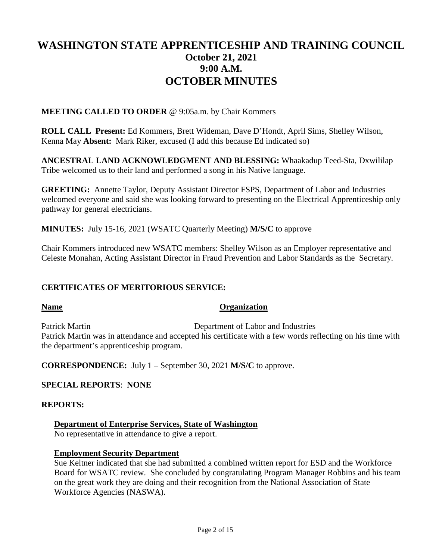## **WASHINGTON STATE APPRENTICESHIP AND TRAINING COUNCIL October 21, 2021 9:00 A.M. OCTOBER MINUTES**

**MEETING CALLED TO ORDER** @ 9:05a.m. by Chair Kommers

**ROLL CALL Present:** Ed Kommers, Brett Wideman, Dave D'Hondt, April Sims, Shelley Wilson, Kenna May **Absent:** Mark Riker, excused (I add this because Ed indicated so)

**ANCESTRAL LAND ACKNOWLEDGMENT AND BLESSING:** Whaakadup Teed-Sta, Dxwililap Tribe welcomed us to their land and performed a song in his Native language.

**GREETING:** Annette Taylor, Deputy Assistant Director FSPS, Department of Labor and Industries welcomed everyone and said she was looking forward to presenting on the Electrical Apprenticeship only pathway for general electricians.

**MINUTES:** July 15-16, 2021 (WSATC Quarterly Meeting) **M/S/C** to approve

Chair Kommers introduced new WSATC members: Shelley Wilson as an Employer representative and Celeste Monahan, Acting Assistant Director in Fraud Prevention and Labor Standards as the Secretary.

## **CERTIFICATES OF MERITORIOUS SERVICE:**

## **Name Organization**

Patrick Martin Department of Labor and Industries Patrick Martin was in attendance and accepted his certificate with a few words reflecting on his time with the department's apprenticeship program.

**CORRESPONDENCE:** July 1 – September 30, 2021 **M/S/C** to approve.

## **SPECIAL REPORTS**: **NONE**

## **REPORTS:**

## **Department of Enterprise Services, State of Washington**

No representative in attendance to give a report.

## **Employment Security Department**

Sue Keltner indicated that she had submitted a combined written report for ESD and the Workforce Board for WSATC review. She concluded by congratulating Program Manager Robbins and his team on the great work they are doing and their recognition from the National Association of State Workforce Agencies (NASWA).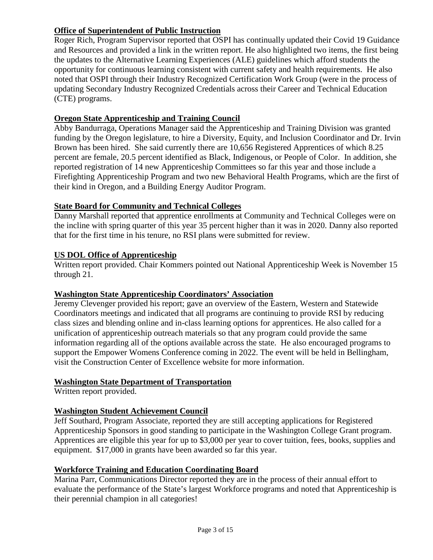## **Office of Superintendent of Public Instruction**

Roger Rich, Program Supervisor reported that OSPI has continually updated their Covid 19 Guidance and Resources and provided a link in the written report. He also highlighted two items, the first being the updates to the Alternative Learning Experiences (ALE) guidelines which afford students the opportunity for continuous learning consistent with current safety and health requirements. He also noted that OSPI through their Industry Recognized Certification Work Group (were in the process of updating Secondary Industry Recognized Credentials across their Career and Technical Education (CTE) programs.

## **Oregon State Apprenticeship and Training Council**

Abby Bandurraga, Operations Manager said the Apprenticeship and Training Division was granted funding by the Oregon legislature, to hire a Diversity, Equity, and Inclusion Coordinator and Dr. Irvin Brown has been hired. She said currently there are 10,656 Registered Apprentices of which 8.25 percent are female, 20.5 percent identified as Black, Indigenous, or People of Color. In addition, she reported registration of 14 new Apprenticeship Committees so far this year and those include a Firefighting Apprenticeship Program and two new Behavioral Health Programs, which are the first of their kind in Oregon, and a Building Energy Auditor Program.

## **State Board for Community and Technical Colleges**

Danny Marshall reported that apprentice enrollments at Community and Technical Colleges were on the incline with spring quarter of this year 35 percent higher than it was in 2020. Danny also reported that for the first time in his tenure, no RSI plans were submitted for review.

## **US DOL Office of Apprenticeship**

Written report provided. Chair Kommers pointed out National Apprenticeship Week is November 15 through 21.

## **Washington State Apprenticeship Coordinators' Association**

Jeremy Clevenger provided his report; gave an overview of the Eastern, Western and Statewide Coordinators meetings and indicated that all programs are continuing to provide RSI by reducing class sizes and blending online and in-class learning options for apprentices. He also called for a unification of apprenticeship outreach materials so that any program could provide the same information regarding all of the options available across the state. He also encouraged programs to support the Empower Womens Conference coming in 2022. The event will be held in Bellingham, visit the Construction Center of Excellence website for more information.

## **Washington State Department of Transportation**

Written report provided.

## **Washington Student Achievement Council**

Jeff Southard, Program Associate, reported they are still accepting applications for Registered Apprenticeship Sponsors in good standing to participate in the Washington College Grant program. Apprentices are eligible this year for up to \$3,000 per year to cover tuition, fees, books, supplies and equipment. \$17,000 in grants have been awarded so far this year.

## **Workforce Training and Education Coordinating Board**

Marina Parr, Communications Director reported they are in the process of their annual effort to evaluate the performance of the State's largest Workforce programs and noted that Apprenticeship is their perennial champion in all categories!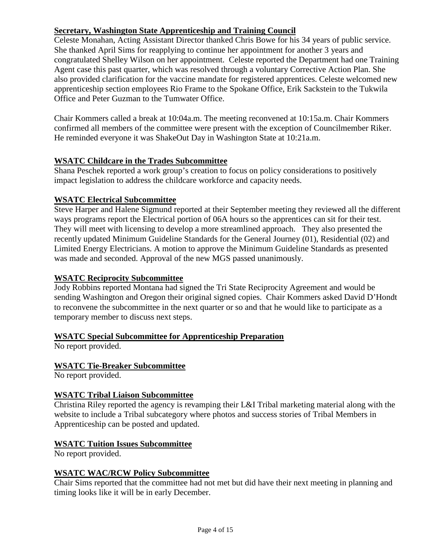## **Secretary, Washington State Apprenticeship and Training Council**

Celeste Monahan, Acting Assistant Director thanked Chris Bowe for his 34 years of public service. She thanked April Sims for reapplying to continue her appointment for another 3 years and congratulated Shelley Wilson on her appointment. Celeste reported the Department had one Training Agent case this past quarter, which was resolved through a voluntary Corrective Action Plan. She also provided clarification for the vaccine mandate for registered apprentices. Celeste welcomed new apprenticeship section employees Rio Frame to the Spokane Office, Erik Sackstein to the Tukwila Office and Peter Guzman to the Tumwater Office.

Chair Kommers called a break at 10:04a.m. The meeting reconvened at 10:15a.m. Chair Kommers confirmed all members of the committee were present with the exception of Councilmember Riker. He reminded everyone it was ShakeOut Day in Washington State at 10:21a.m.

## **WSATC Childcare in the Trades Subcommittee**

Shana Peschek reported a work group's creation to focus on policy considerations to positively impact legislation to address the childcare workforce and capacity needs.

## **WSATC Electrical Subcommittee**

Steve Harper and Halene Sigmund reported at their September meeting they reviewed all the different ways programs report the Electrical portion of 06A hours so the apprentices can sit for their test. They will meet with licensing to develop a more streamlined approach. They also presented the recently updated Minimum Guideline Standards for the General Journey (01), Residential (02) and Limited Energy Electricians. A motion to approve the Minimum Guideline Standards as presented was made and seconded. Approval of the new MGS passed unanimously.

## **WSATC Reciprocity Subcommittee**

Jody Robbins reported Montana had signed the Tri State Reciprocity Agreement and would be sending Washington and Oregon their original signed copies. Chair Kommers asked David D'Hondt to reconvene the subcommittee in the next quarter or so and that he would like to participate as a temporary member to discuss next steps.

## **WSATC Special Subcommittee for Apprenticeship Preparation**

No report provided.

## **WSATC Tie-Breaker Subcommittee**

No report provided.

## **WSATC Tribal Liaison Subcommittee**

Christina Riley reported the agency is revamping their L&I Tribal marketing material along with the website to include a Tribal subcategory where photos and success stories of Tribal Members in Apprenticeship can be posted and updated.

## **WSATC Tuition Issues Subcommittee**

No report provided.

## **WSATC WAC/RCW Policy Subcommittee**

Chair Sims reported that the committee had not met but did have their next meeting in planning and timing looks like it will be in early December.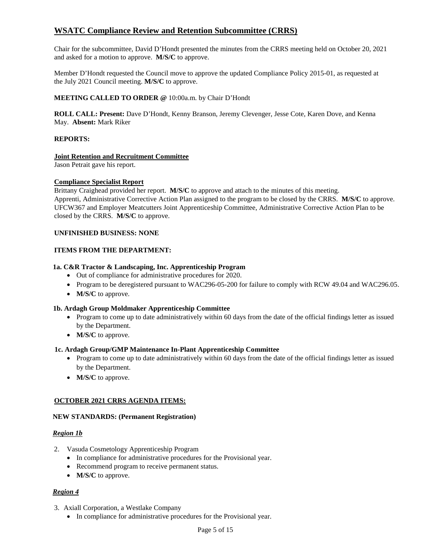## **WSATC Compliance Review and Retention Subcommittee (CRRS)**

Chair for the subcommittee, David D'Hondt presented the minutes from the CRRS meeting held on October 20, 2021 and asked for a motion to approve. **M/S/C** to approve.

Member D'Hondt requested the Council move to approve the updated Compliance Policy 2015-01, as requested at the July 2021 Council meeting. **M/S/C** to approve.

#### **MEETING CALLED TO ORDER @** 10:00a.m. by Chair D'Hondt

**ROLL CALL: Present:** Dave D'Hondt, Kenny Branson, Jeremy Clevenger, Jesse Cote, Karen Dove, and Kenna May. **Absent:** Mark Riker

#### **REPORTS:**

#### **Joint Retention and Recruitment Committee**

Jason Petrait gave his report.

#### **Compliance Specialist Report**

Brittany Craighead provided her report. **M/S/C** to approve and attach to the minutes of this meeting. Apprenti, Administrative Corrective Action Plan assigned to the program to be closed by the CRRS. **M/S/C** to approve. UFCW367 and Employer Meatcutters Joint Apprenticeship Committee, Administrative Corrective Action Plan to be closed by the CRRS. **M/S/C** to approve.

#### **UNFINISHED BUSINESS: NONE**

#### **ITEMS FROM THE DEPARTMENT:**

#### **1a. C&R Tractor & Landscaping, Inc. Apprenticeship Program**

- Out of compliance for administrative procedures for 2020.
- Program to be deregistered pursuant to WAC296-05-200 for failure to comply with RCW 49.04 and WAC296.05.
- **M/S/C** to approve.

#### **1b. Ardagh Group Moldmaker Apprenticeship Committee**

- Program to come up to date administratively within 60 days from the date of the official findings letter as issued by the Department.
- **M/S/C** to approve.

#### **1c. Ardagh Group/GMP Maintenance In-Plant Apprenticeship Committee**

- Program to come up to date administratively within 60 days from the date of the official findings letter as issued by the Department.
- **M/S/C** to approve.

#### **OCTOBER 2021 CRRS AGENDA ITEMS:**

#### **NEW STANDARDS: (Permanent Registration)**

#### *Region 1b*

- 2. Vasuda Cosmetology Apprenticeship Program
	- In compliance for administrative procedures for the Provisional year.
	- Recommend program to receive permanent status.
	- **M/S/C** to approve.

#### *Region 4*

- 3. Axiall Corporation, a Westlake Company
	- In compliance for administrative procedures for the Provisional year.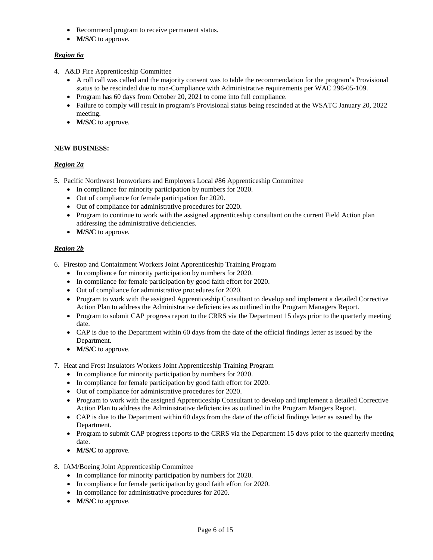- Recommend program to receive permanent status.
- **M/S/C** to approve.

#### *Region 6a*

- 4. A&D Fire Apprenticeship Committee
	- A roll call was called and the majority consent was to table the recommendation for the program's Provisional status to be rescinded due to non-Compliance with Administrative requirements per WAC 296-05-109.
	- Program has 60 days from October 20, 2021 to come into full compliance.
	- Failure to comply will result in program's Provisional status being rescinded at the WSATC January 20, 2022 meeting.
	- **M/S/C** to approve.

#### **NEW BUSINESS:**

#### *Region 2a*

- 5. Pacific Northwest Ironworkers and Employers Local #86 Apprenticeship Committee
	- In compliance for minority participation by numbers for 2020.
	- Out of compliance for female participation for 2020.
	- Out of compliance for administrative procedures for 2020.
	- Program to continue to work with the assigned apprenticeship consultant on the current Field Action plan addressing the administrative deficiencies.
	- **M/S/C** to approve.

#### *Region 2b*

- 6. Firestop and Containment Workers Joint Apprenticeship Training Program
	- In compliance for minority participation by numbers for 2020.
	- In compliance for female participation by good faith effort for 2020.
	- Out of compliance for administrative procedures for 2020.
	- Program to work with the assigned Apprenticeship Consultant to develop and implement a detailed Corrective Action Plan to address the Administrative deficiencies as outlined in the Program Managers Report.
	- Program to submit CAP progress report to the CRRS via the Department 15 days prior to the quarterly meeting date.
	- CAP is due to the Department within 60 days from the date of the official findings letter as issued by the Department.
	- **M/S/C** to approve.
- 7. Heat and Frost Insulators Workers Joint Apprenticeship Training Program
	- In compliance for minority participation by numbers for 2020.
	- In compliance for female participation by good faith effort for 2020.
	- Out of compliance for administrative procedures for 2020.
	- Program to work with the assigned Apprenticeship Consultant to develop and implement a detailed Corrective Action Plan to address the Administrative deficiencies as outlined in the Program Mangers Report.
	- CAP is due to the Department within 60 days from the date of the official findings letter as issued by the Department.
	- Program to submit CAP progress reports to the CRRS via the Department 15 days prior to the quarterly meeting date.
	- **M/S/C** to approve.
- 8. IAM/Boeing Joint Apprenticeship Committee
	- In compliance for minority participation by numbers for 2020.
	- In compliance for female participation by good faith effort for 2020.
	- In compliance for administrative procedures for 2020.
	- **M/S/C** to approve.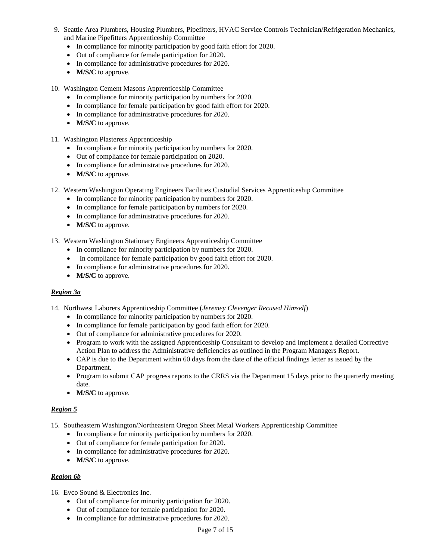- 9. Seattle Area Plumbers, Housing Plumbers, Pipefitters, HVAC Service Controls Technician/Refrigeration Mechanics, and Marine Pipefitters Apprenticeship Committee
	- In compliance for minority participation by good faith effort for 2020.
	- Out of compliance for female participation for 2020.
	- In compliance for administrative procedures for 2020.
	- **M/S/C** to approve.
- 10. Washington Cement Masons Apprenticeship Committee
	- In compliance for minority participation by numbers for 2020.
	- In compliance for female participation by good faith effort for 2020.
	- In compliance for administrative procedures for 2020.
	- **M/S/C** to approve.
- 11. Washington Plasterers Apprenticeship
	- In compliance for minority participation by numbers for 2020.
	- Out of compliance for female participation on 2020.
	- In compliance for administrative procedures for 2020.
	- **M/S/C** to approve.
- 12. Western Washington Operating Engineers Facilities Custodial Services Apprenticeship Committee
	- In compliance for minority participation by numbers for 2020.
	- In compliance for female participation by numbers for 2020.
	- In compliance for administrative procedures for 2020.
	- **M/S/C** to approve.
- 13. Western Washington Stationary Engineers Apprenticeship Committee
	- In compliance for minority participation by numbers for 2020.
	- In compliance for female participation by good faith effort for 2020.
	- In compliance for administrative procedures for 2020.
	- **M/S/C** to approve.

#### *Region 3a*

- 14. Northwest Laborers Apprenticeship Committee (*Jeremey Clevenger Recused Himself*)
	- In compliance for minority participation by numbers for 2020.
	- In compliance for female participation by good faith effort for 2020.
	- Out of compliance for administrative procedures for 2020.
	- Program to work with the assigned Apprenticeship Consultant to develop and implement a detailed Corrective Action Plan to address the Administrative deficiencies as outlined in the Program Managers Report.
	- CAP is due to the Department within 60 days from the date of the official findings letter as issued by the Department.
	- Program to submit CAP progress reports to the CRRS via the Department 15 days prior to the quarterly meeting date.
	- **M/S/C** to approve.

#### *Region 5*

- 15. Southeastern Washington/Northeastern Oregon Sheet Metal Workers Apprenticeship Committee
	- In compliance for minority participation by numbers for 2020.
	- Out of compliance for female participation for 2020.
	- In compliance for administrative procedures for 2020.
	- **M/S/C** to approve.

#### *Region 6b*

- 16. Evco Sound & Electronics Inc.
	- Out of compliance for minority participation for 2020.
	- Out of compliance for female participation for 2020.
	- In compliance for administrative procedures for 2020.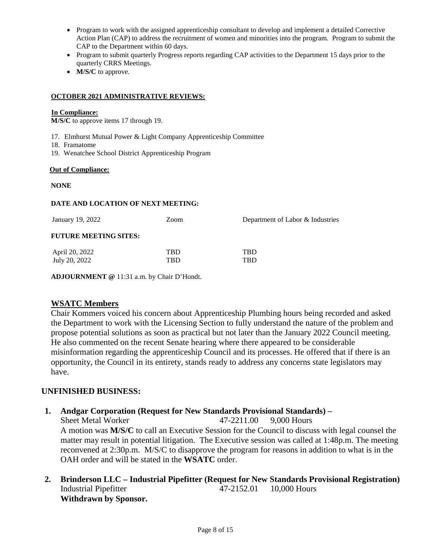- Program to work with the assigned apprenticeship consultant to develop and implement a detailed Corrective Action Plan (CAP) to address the recruitment of women and minorities into the program. Program to submit the CAP to the Department within 60 days.
- Program to submit quarterly Progress reports regarding CAP activities to the Department 15 days prior to the quarterly CRRS Meetings.
- **M/S/C** to approve.

#### **OCTOBER 2021 ADMINISTRATIVE REVIEWS:**

#### **In Compliance:**

**M/S/C** to approve items 17 through 19.

- 17. Elmhurst Mutual Power & Light Company Apprenticeship Committee
- 18. Framatome
- 19. Wenatchee School District Apprenticeship Program

#### **Out of Compliance:**

#### **NONE**

#### **DATE AND LOCATION OF NEXT MEETING:**

| January 19, 2022             | Zoom | Department of Labor & Industries |  |
|------------------------------|------|----------------------------------|--|
| <b>FUTURE MEETING SITES:</b> |      |                                  |  |
| April 20, 2022               | TBD  | TBD                              |  |
| July 20, 2022                | TBD  | TBD                              |  |
|                              |      |                                  |  |

**ADJOURNMENT @** 11:31 a.m. by Chair D'Hondt.

## **WSATC Members**

Chair Kommers voiced his concern about Apprenticeship Plumbing hours being recorded and asked the Department to work with the Licensing Section to fully understand the nature of the problem and propose potential solutions as soon as practical but not later than the January 2022 Council meeting. He also commented on the recent Senate hearing where there appeared to be considerable misinformation regarding the apprenticeship Council and its processes. He offered that if there is an opportunity, the Council in its entirety, stands ready to address any concerns state legislators may have.

## **UNFINISHED BUSINESS:**

## **1. Andgar Corporation (Request for New Standards Provisional Standards) –**

Sheet Metal Worker 47-2211.00 9.000 Hours A motion was **M/S/C** to call an Executive Session for the Council to discuss with legal counsel the matter may result in potential litigation. The Executive session was called at 1:48p.m. The meeting reconvened at 2:30p.m. M/S/C to disapprove the program for reasons in addition to what is in the OAH order and will be stated in the **WSATC** order.

**2. Brinderson LLC – Industrial Pipefitter (Request for New Standards Provisional Registration)**  Industrial Pipefitter 47-2152.01 10,000 Hours **Withdrawn by Sponsor.**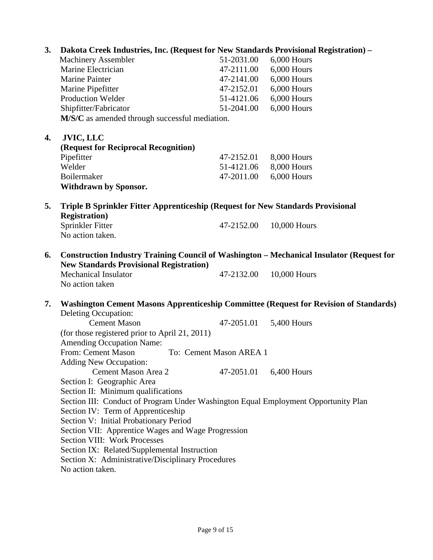| 3.<br>Dakota Creek Industries, Inc. (Request for New Standards Provisional Registration) - |                                                                                                 |                          |               |
|--------------------------------------------------------------------------------------------|-------------------------------------------------------------------------------------------------|--------------------------|---------------|
|                                                                                            | <b>Machinery Assembler</b>                                                                      | 51-2031.00               | 6,000 Hours   |
|                                                                                            | Marine Electrician                                                                              | 47-2111.00               | 6,000 Hours   |
|                                                                                            | <b>Marine Painter</b>                                                                           | 47-2141.00               | $6,000$ Hours |
|                                                                                            | Marine Pipefitter                                                                               | 47-2152.01               | 6,000 Hours   |
|                                                                                            | <b>Production Welder</b>                                                                        | 51-4121.06               | 6,000 Hours   |
|                                                                                            | Shipfitter/Fabricator                                                                           | 51-2041.00               | 6,000 Hours   |
|                                                                                            | M/S/C as amended through successful mediation.                                                  |                          |               |
|                                                                                            |                                                                                                 |                          |               |
| 4.                                                                                         | <b>JVIC, LLC</b>                                                                                |                          |               |
|                                                                                            | (Request for Reciprocal Recognition)                                                            |                          |               |
|                                                                                            | Pipefitter<br>Welder                                                                            | 47-2152.01<br>51-4121.06 | 8,000 Hours   |
|                                                                                            | Boilermaker                                                                                     | 47-2011.00               | 8,000 Hours   |
|                                                                                            |                                                                                                 |                          | 6,000 Hours   |
|                                                                                            | Withdrawn by Sponsor.                                                                           |                          |               |
| 5.                                                                                         | Triple B Sprinkler Fitter Apprenticeship (Request for New Standards Provisional                 |                          |               |
|                                                                                            | <b>Registration</b> )                                                                           |                          |               |
|                                                                                            | Sprinkler Fitter                                                                                | 47-2152.00               | 10,000 Hours  |
|                                                                                            | No action taken.                                                                                |                          |               |
| 6.                                                                                         | <b>Construction Industry Training Council of Washington – Mechanical Insulator (Request for</b> |                          |               |
|                                                                                            | <b>New Standards Provisional Registration)</b>                                                  |                          |               |
|                                                                                            | <b>Mechanical Insulator</b>                                                                     | 47-2132.00               | 10,000 Hours  |
|                                                                                            | No action taken                                                                                 |                          |               |
|                                                                                            |                                                                                                 |                          |               |
| 7.                                                                                         | Washington Cement Masons Apprenticeship Committee (Request for Revision of Standards)           |                          |               |
|                                                                                            | Deleting Occupation:                                                                            |                          |               |
|                                                                                            | <b>Cement Mason</b>                                                                             | 47-2051.01               | 5,400 Hours   |
|                                                                                            | (for those registered prior to April 21, 2011)                                                  |                          |               |
|                                                                                            | <b>Amending Occupation Name:</b>                                                                |                          |               |
|                                                                                            | From: Cement Mason                                                                              | To: Cement Mason AREA 1  |               |
|                                                                                            | <b>Adding New Occupation:</b>                                                                   |                          |               |
|                                                                                            | Cement Mason Area 2                                                                             | 47-2051.01               | $6,400$ Hours |
|                                                                                            | Section I: Geographic Area                                                                      |                          |               |
|                                                                                            | Section II: Minimum qualifications                                                              |                          |               |
|                                                                                            | Section III: Conduct of Program Under Washington Equal Employment Opportunity Plan              |                          |               |
|                                                                                            | Section IV: Term of Apprenticeship                                                              |                          |               |
|                                                                                            | Section V: Initial Probationary Period                                                          |                          |               |
|                                                                                            | Section VII: Apprentice Wages and Wage Progression                                              |                          |               |
|                                                                                            | <b>Section VIII: Work Processes</b>                                                             |                          |               |
|                                                                                            | Section IX: Related/Supplemental Instruction                                                    |                          |               |
|                                                                                            | Section X: Administrative/Disciplinary Procedures                                               |                          |               |
|                                                                                            | No action taken.                                                                                |                          |               |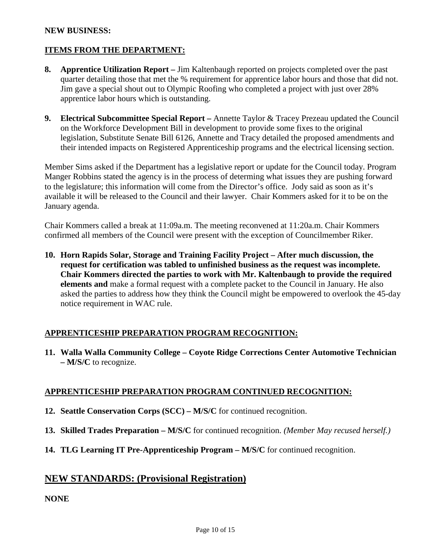## **NEW BUSINESS:**

## **ITEMS FROM THE DEPARTMENT:**

- **8. Apprentice Utilization Report** Jim Kaltenbaugh reported on projects completed over the past quarter detailing those that met the % requirement for apprentice labor hours and those that did not. Jim gave a special shout out to Olympic Roofing who completed a project with just over 28% apprentice labor hours which is outstanding.
- **9. Electrical Subcommittee Special Report** Annette Taylor & Tracey Prezeau updated the Council on the Workforce Development Bill in development to provide some fixes to the original legislation, Substitute Senate Bill 6126, Annette and Tracy detailed the proposed amendments and their intended impacts on Registered Apprenticeship programs and the electrical licensing section.

Member Sims asked if the Department has a legislative report or update for the Council today. Program Manger Robbins stated the agency is in the process of determing what issues they are pushing forward to the legislature; this information will come from the Director's office. Jody said as soon as it's available it will be released to the Council and their lawyer. Chair Kommers asked for it to be on the January agenda.

Chair Kommers called a break at 11:09a.m. The meeting reconvened at 11:20a.m. Chair Kommers confirmed all members of the Council were present with the exception of Councilmember Riker.

**10. Horn Rapids Solar, Storage and Training Facility Project – After much discussion, the request for certification was tabled to unfinished business as the request was incomplete. Chair Kommers directed the parties to work with Mr. Kaltenbaugh to provide the required elements and** make a formal request with a complete packet to the Council in January. He also asked the parties to address how they think the Council might be empowered to overlook the 45-day notice requirement in WAC rule.

## **APPRENTICESHIP PREPARATION PROGRAM RECOGNITION:**

**11. Walla Walla Community College – Coyote Ridge Corrections Center Automotive Technician – M/S/C** to recognize.

## **APPRENTICESHIP PREPARATION PROGRAM CONTINUED RECOGNITION:**

- **12. Seattle Conservation Corps (SCC) M/S/C** for continued recognition.
- **13. Skilled Trades Preparation M/S/C** for continued recognition. *(Member May recused herself.)*
- **14. TLG Learning IT Pre-Apprenticeship Program M/S/C** for continued recognition.

## **NEW STANDARDS: (Provisional Registration)**

## **NONE**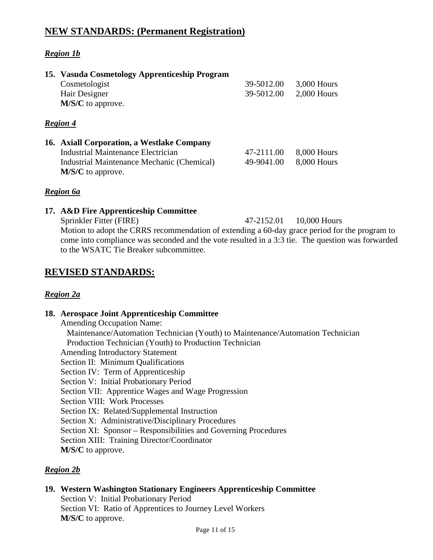## **NEW STANDARDS: (Permanent Registration)**

## *Region 1b*

| 15. Vasuda Cosmetology Apprenticeship Program<br>Cosmetologist<br>Hair Designer<br>M/S/C to approve.                                  | 39-5012.00<br>39-5012.00 | 3,000 Hours<br>$2,000$ Hours |
|---------------------------------------------------------------------------------------------------------------------------------------|--------------------------|------------------------------|
| Region 4                                                                                                                              |                          |                              |
| 16. Axiall Corporation, a Westlake Company<br><b>Industrial Maintenance Electrician</b><br>Industrial Maintenance Mechanic (Chemical) | 47-2111.00<br>49-9041.00 | 8,000 Hours<br>8,000 Hours   |
| M/S/C to approve.                                                                                                                     |                          |                              |

## *Region 6a*

#### **17. A&D Fire Apprenticeship Committee**

Sprinkler Fitter (FIRE) 47-2152.01 10,000 Hours Motion to adopt the CRRS recommendation of extending a 60-day grace period for the program to come into compliance was seconded and the vote resulted in a 3:3 tie. The question was forwarded to the WSATC Tie Breaker subcommittee.

## **REVISED STANDARDS:**

## *Region 2a*

## **18. Aerospace Joint Apprenticeship Committee**

Amending Occupation Name: Maintenance/Automation Technician (Youth) to Maintenance/Automation Technician Production Technician (Youth) to Production Technician Amending Introductory Statement Section II: Minimum Qualifications Section IV: Term of Apprenticeship Section V: Initial Probationary Period Section VII: Apprentice Wages and Wage Progression Section VIII: Work Processes Section IX: Related/Supplemental Instruction Section X: Administrative/Disciplinary Procedures Section XI: Sponsor – Responsibilities and Governing Procedures Section XIII: Training Director/Coordinator **M/S/C** to approve.

## *Region 2b*

#### **19. Western Washington Stationary Engineers Apprenticeship Committee** Section V: Initial Probationary Period Section VI: Ratio of Apprentices to Journey Level Workers

**M/S/C** to approve.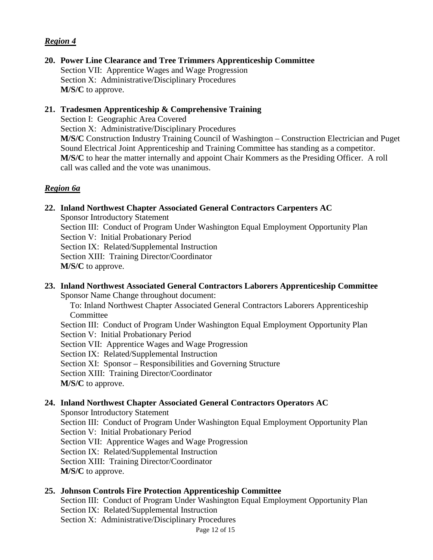## *Region 4*

**20. Power Line Clearance and Tree Trimmers Apprenticeship Committee** Section VII: Apprentice Wages and Wage Progression Section X: Administrative/Disciplinary Procedures **M/S/C** to approve.

## **21. Tradesmen Apprenticeship & Comprehensive Training**

Section I: Geographic Area Covered

Section X: Administrative/Disciplinary Procedures

**M/S/C** Construction Industry Training Council of Washington – Construction Electrician and Puget Sound Electrical Joint Apprenticeship and Training Committee has standing as a competitor. **M/S/C** to hear the matter internally and appoint Chair Kommers as the Presiding Officer. A roll call was called and the vote was unanimous.

## *Region 6a*

## **22. Inland Northwest Chapter Associated General Contractors Carpenters AC**

Sponsor Introductory Statement Section III: Conduct of Program Under Washington Equal Employment Opportunity Plan Section V: Initial Probationary Period Section IX: Related/Supplemental Instruction Section XIII: Training Director/Coordinator **M/S/C** to approve.

## **23. Inland Northwest Associated General Contractors Laborers Apprenticeship Committee**

Sponsor Name Change throughout document:

To: Inland Northwest Chapter Associated General Contractors Laborers Apprenticeship Committee

Section III: Conduct of Program Under Washington Equal Employment Opportunity Plan Section V: Initial Probationary Period

Section VII: Apprentice Wages and Wage Progression

Section IX: Related/Supplemental Instruction

Section XI: Sponsor – Responsibilities and Governing Structure

Section XIII: Training Director/Coordinator

**M/S/C** to approve.

## **24. Inland Northwest Chapter Associated General Contractors Operators AC**

Sponsor Introductory Statement

Section III: Conduct of Program Under Washington Equal Employment Opportunity Plan Section V: Initial Probationary Period Section VII: Apprentice Wages and Wage Progression Section IX: Related/Supplemental Instruction Section XIII: Training Director/Coordinator **M/S/C** to approve.

## **25. Johnson Controls Fire Protection Apprenticeship Committee**

Section III: Conduct of Program Under Washington Equal Employment Opportunity Plan Section IX: Related/Supplemental Instruction Section X: Administrative/Disciplinary Procedures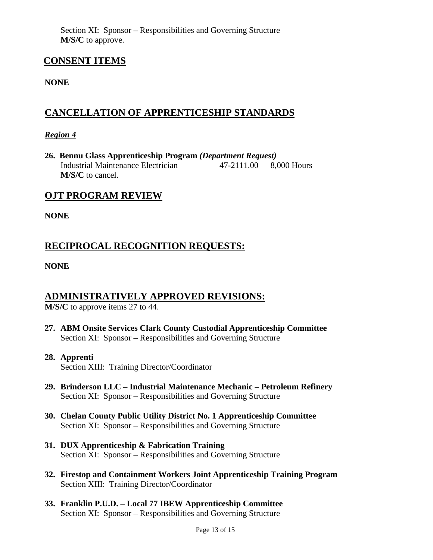Section XI: Sponsor – Responsibilities and Governing Structure **M/S/C** to approve.

## **CONSENT ITEMS**

## **NONE**

## **CANCELLATION OF APPRENTICESHIP STANDARDS**

## *Region 4*

**26. Bennu Glass Apprenticeship Program** *(Department Request)* Industrial Maintenance Electrician 47-2111.00 8,000 Hours **M/S/C** to cancel.

## **OJT PROGRAM REVIEW**

**NONE**

## **RECIPROCAL RECOGNITION REQUESTS:**

**NONE**

## **ADMINISTRATIVELY APPROVED REVISIONS:**

**M/S/C** to approve items 27 to 44.

- **27. ABM Onsite Services Clark County Custodial Apprenticeship Committee** Section XI: Sponsor – Responsibilities and Governing Structure
- **28. Apprenti** Section XIII: Training Director/Coordinator
- **29. Brinderson LLC Industrial Maintenance Mechanic Petroleum Refinery** Section XI: Sponsor – Responsibilities and Governing Structure
- **30. Chelan County Public Utility District No. 1 Apprenticeship Committee** Section XI: Sponsor – Responsibilities and Governing Structure
- **31. DUX Apprenticeship & Fabrication Training** Section XI: Sponsor – Responsibilities and Governing Structure
- **32. Firestop and Containment Workers Joint Apprenticeship Training Program** Section XIII: Training Director/Coordinator
- **33. Franklin P.U.D. Local 77 IBEW Apprenticeship Committee** Section XI: Sponsor – Responsibilities and Governing Structure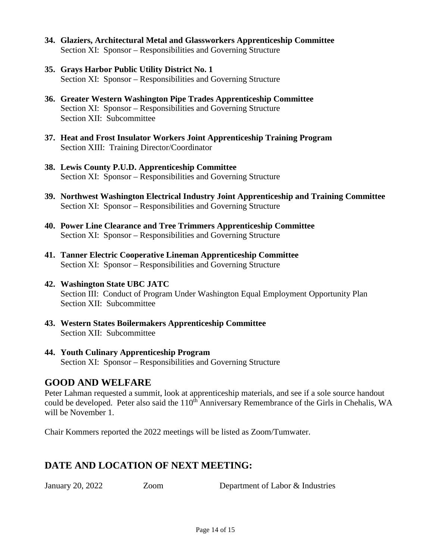- **34. Glaziers, Architectural Metal and Glassworkers Apprenticeship Committee** Section XI: Sponsor – Responsibilities and Governing Structure
- **35. Grays Harbor Public Utility District No. 1**  Section XI: Sponsor – Responsibilities and Governing Structure
- **36. Greater Western Washington Pipe Trades Apprenticeship Committee** Section XI: Sponsor – Responsibilities and Governing Structure Section XII: Subcommittee
- **37. Heat and Frost Insulator Workers Joint Apprenticeship Training Program** Section XIII: Training Director/Coordinator
- **38. Lewis County P.U.D. Apprenticeship Committee** Section XI: Sponsor – Responsibilities and Governing Structure
- **39. Northwest Washington Electrical Industry Joint Apprenticeship and Training Committee**  Section XI: Sponsor – Responsibilities and Governing Structure
- **40. Power Line Clearance and Tree Trimmers Apprenticeship Committee** Section XI: Sponsor – Responsibilities and Governing Structure
- **41. Tanner Electric Cooperative Lineman Apprenticeship Committee** Section XI: Sponsor – Responsibilities and Governing Structure
- **42. Washington State UBC JATC** Section III: Conduct of Program Under Washington Equal Employment Opportunity Plan Section XII: Subcommittee
- **43. Western States Boilermakers Apprenticeship Committee**  Section XII: Subcommittee
- **44. Youth Culinary Apprenticeship Program** Section XI: Sponsor – Responsibilities and Governing Structure

## **GOOD AND WELFARE**

Peter Lahman requested a summit, look at apprenticeship materials, and see if a sole source handout could be developed. Peter also said the 110<sup>th</sup> Anniversary Remembrance of the Girls in Chehalis, WA will be November 1.

Chair Kommers reported the 2022 meetings will be listed as Zoom/Tumwater.

## **DATE AND LOCATION OF NEXT MEETING:**

January 20, 2022 Zoom Department of Labor & Industries